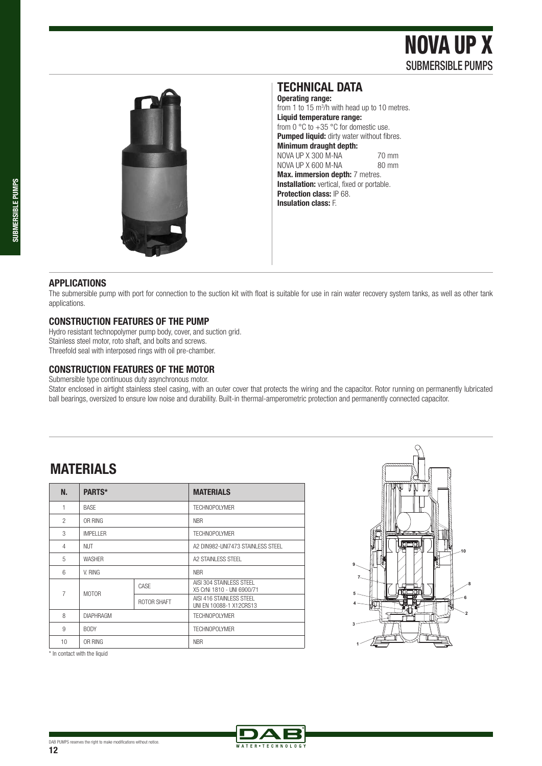# NOVA UP X SUBMERSIBLE PUMPS





### **TECHNICAL DATA**

**Operating range:**  from 1 to 15 m<sup>3</sup>/h with head up to 10 metres. **Liquid temperature range:**  from 0  $\degree$ C to +35  $\degree$ C for domestic use. **Pumped liquid:** dirty water without fibres. **Minimum draught depth:**  NOVA UP X 300 M-NA 70 mm<br>NOVA UP X 600 M-NA 80 mm  $NOVA UP X 600 M-NA$ **Max. immersion depth:** 7 metres. **Installation:** vertical, fixed or portable. **Protection class:** IP 68. **Insulation class:** F.

### **APPLICATIONS**

The submersible pump with port for connection to the suction kit with float is suitable for use in rain water recovery system tanks, as well as other tank applications.

### **CONSTRUCTION FEATURES OF THE PUMP**

Hydro resistant technopolymer pump body, cover, and suction grid. Stainless steel motor, roto shaft, and bolts and screws. Threefold seal with interposed rings with oil pre-chamber.

### **CONSTRUCTION FEATURES OF THE MOTOR**

Submersible type continuous duty asynchronous motor.

Stator enclosed in airtight stainless steel casing, with an outer cover that protects the wiring and the capacitor. Rotor running on permanently lubricated ball bearings, oversized to ensure low noise and durability. Built-in thermal-amperometric protection and permanently connected capacitor.

## **MATERIALS**

| N.             | PARTS*           |             | <b>MATERIALS</b>                                       |  |  |  |  |
|----------------|------------------|-------------|--------------------------------------------------------|--|--|--|--|
| 1              | <b>BASE</b>      |             | <b>TECHNOPOLYMER</b>                                   |  |  |  |  |
| $\mathfrak{p}$ | OR RING          |             | <b>NBR</b>                                             |  |  |  |  |
| 3              | IMPFI I FR       |             | <b>TECHNOPOLYMER</b>                                   |  |  |  |  |
| 4              | <b>NUT</b>       |             | A2 DIN982-UNI7473 STAINLESS STEEL                      |  |  |  |  |
| 5              | <b>WASHER</b>    |             | A2 STAINLESS STEEL                                     |  |  |  |  |
| 6              | V. RING          |             | <b>NBR</b>                                             |  |  |  |  |
| $\overline{7}$ | <b>MOTOR</b>     | CASE        | AISI 304 STAINLESS STEEL<br>X5 CrNi 1810 - UNI 6900/71 |  |  |  |  |
|                |                  | ROTOR SHAFT | AISI 416 STAINLESS STEEL<br>UNI EN 10088-1 X12CRS13    |  |  |  |  |
| 8              | <b>DIAPHRAGM</b> |             | <b>TECHNOPOLYMER</b>                                   |  |  |  |  |
| 9              | <b>BODY</b>      |             | <b>TECHNOPOLYMER</b>                                   |  |  |  |  |
| 10             | OR RING          |             | <b>NBR</b>                                             |  |  |  |  |

\* In contact with the liquid



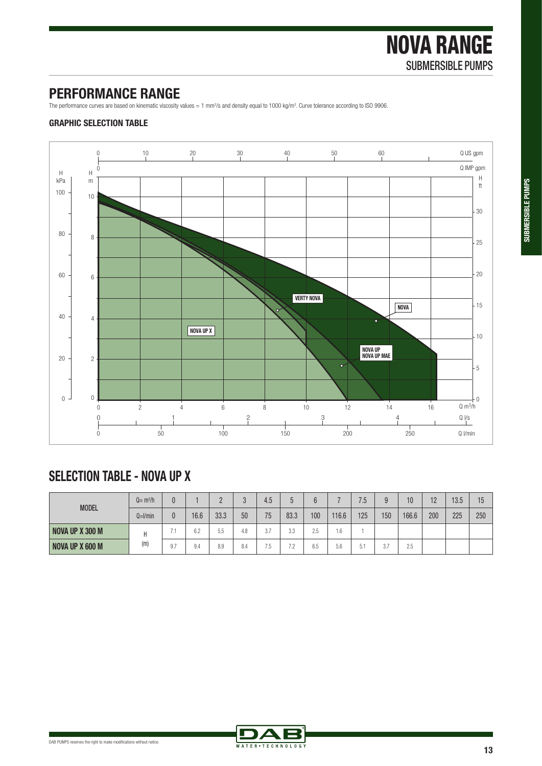### **PERFORMANCE RANGE**

The performance curves are based on kinematic viscosity values = 1 mm<sup>2</sup>/s and density equal to 1000 kg/m<sup>3</sup>. Curve tolerance according to ISO 9906.

### **GRAPHIC SELECTION TABLE**



# **SELECTION TABLE - NOVA UP X**

| <b>MODEL</b>           | $Q = m^3/h$  |                       |      |            |     | 4.5                        |                                |                      |       | 7.5              |     | 10    | 12<br>' – | 13.5 | 15  |
|------------------------|--------------|-----------------------|------|------------|-----|----------------------------|--------------------------------|----------------------|-------|------------------|-----|-------|-----------|------|-----|
|                        | $Q=$ $l/min$ | 0                     | 16.6 | 33.3       | 50  | 75                         | 83.3                           | 100                  | 116.6 | 125              | 150 | 166.6 | 200       | 225  | 250 |
| <b>NOVA UP X 300 M</b> | (m)          |                       | 6.2  | - -<br>5.5 | 4.8 | $\sim$ $\sim$<br>U.        | 22<br>J.J                      | つに<br>ں ک            | 1.6   |                  |     |       |           |      |     |
| NOVA UP X 600 M        |              | Q <sub>7</sub><br>، ن | 9.4  | 8.9        | 8.4 | $- -$<br><b>Sec.</b><br>ט. | 70<br>$\overline{\phantom{a}}$ | $\sim$ $\sim$<br>6.5 | 5.6   | $-1$<br>h.<br>υ. | 3.7 | 2.5   |           |      |     |